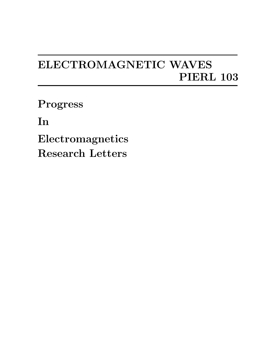## **ELECTROMAGNETIC WAVES PIERL 103**

**Progress**

**In**

**Electromagnetics Research Letters**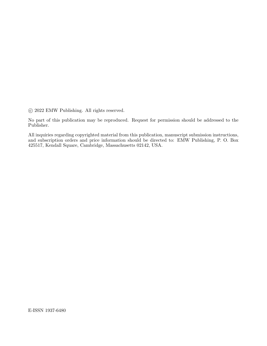*⃝*c 2022 EMW Publishing. All rights reserved.

No part of this publication may be reproduced. Request for permission should be addressed to the Publisher.

All inquiries regarding copyrighted material from this publication, manuscript submission instructions, and subscription orders and price information should be directed to: EMW Publishing, P. O. Box 425517, Kendall Square, Cambridge, Massachusetts 02142, USA.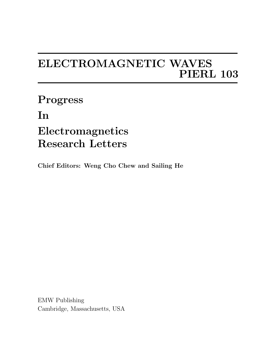## **ELECTROMAGNETIC WAVES PIERL 103**

**Progress In Electromagnetics Research Letters**

**Chief Editors: Weng Cho Chew and Sailing He**

EMW Publishing Cambridge, Massachusetts, USA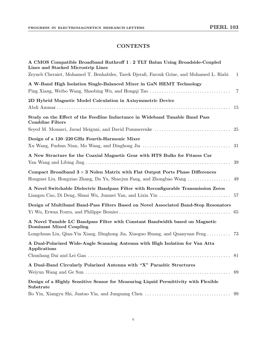## **CONTENTS**

| A CMOS Compatible Broadband Ruthroff 1 : 2 TLT Balun Using Broadside-Coupled<br>Lines and Stacked Microstrip Lines                                          |                |
|-------------------------------------------------------------------------------------------------------------------------------------------------------------|----------------|
| Zeyneb Cheraiet, Mohamed T. Benhabiles, Tarek Djerafi, Farouk Grine, and Mohamed L. Riabi                                                                   | 1              |
| A W-Band High Isolation Single-Balanced Mixer in GaN HEMT Technology                                                                                        |                |
|                                                                                                                                                             | $\overline{7}$ |
| 2D Hybrid Magnetic Model Calculation in Axisymmetric Device                                                                                                 | -15            |
| Study on the Effect of the Feedline Inductance in Wideband Tunable Band Pass<br><b>Combline Filters</b>                                                     |                |
| Seyed M. Mousavi, Javad Meiguni, and David Pommerenke                                                                                                       | 25             |
| Design of a 120-220 GHz Fourth-Harmonic Mixer                                                                                                               |                |
| Xu Wang, Fushun Nian, Mo Wang, and Dinghong Jia                                                                                                             | 31             |
| A New Structure for the Coaxial Magnetic Gear with HTS Bulks for Fitness Car                                                                                | 39             |
| Compact Broadband $3 \times 3$ Nolen Matrix with Flat Output Ports Phase Differences<br>Hongmei Liu, Hongxiao Zhang, Da Yu, Shaojun Fang, and Zhongbao Wang | 49             |
| A Novel Switchable Dielectric Bandpass Filter with Reconfigurable Transmission Zeros                                                                        | 57             |
| Design of Multiband Band-Pass Filters Based on Novel Associated Band-Stop Resonators                                                                        |                |
| A Novel Tunable LC Bandpass Filter with Constant Bandwidth based on Magnetic<br><b>Dominant Mixed Coupling</b>                                              |                |
| Longchuan Liu, Qian-Yin Xiang, Dinghong Jia, Xiaoguo Huang, and Quanyuan Feng                                                                               | 73             |
| A Dual-Polarized Wide-Angle Scanning Antenna with High Isolation for Van Atta<br>Applications                                                               |                |
|                                                                                                                                                             | 81             |
| A Dual-Band Circularly Polarized Antenna with "X" Parasitic Structures                                                                                      |                |
|                                                                                                                                                             | -89            |
| Design of a Highly Sensitive Sensor for Measuring Liquid Permittivity with Flexible<br>Substrate                                                            |                |
|                                                                                                                                                             |                |